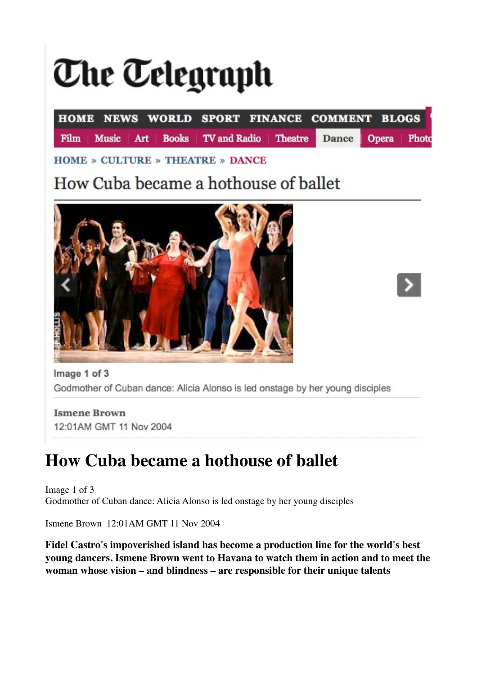## **The Telegraph**

**НОМЕ NEWS WORLD FINANCE COMMENT SPORT BLOGS** Film **Music** Art **Books TV and Radio Theatre Dance** Opera Photo

**HOME » CULTURE » THEATRE » DANCE** 

## How Cuba became a hothouse of ballet



Image 1 of 3 Godmother of Cuban dance: Alicia Alonso is led onstage by her young disciples

**Ismene Brown** 12:01AM GMT 11 Nov 2004

## **How Cuba became a hothouse of ballet**

Image 1 of 3 Godmother of Cuban dance: Alicia Alonso is led onstage by her young disciples

Ismene Brown 12:01AM GMT 11 Nov 2004

**Fidel Castro's impoverished island has become a production line for the world's best young dancers. Ismene Brown went to Havana to watch them in action and to meet the woman whose vision – and blindness – are responsible for their unique talents**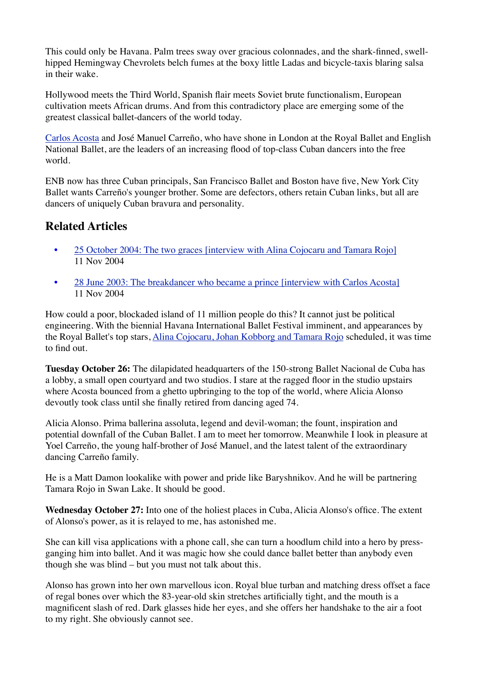This could only be Havana. Palm trees sway over gracious colonnades, and the shark-finned, swellhipped Hemingway Chevrolets belch fumes at the boxy little Ladas and bicycle-taxis blaring salsa in their wake.

Hollywood meets the Third World, Spanish flair meets Soviet brute functionalism, European cultivation meets African drums. And from this contradictory place are emerging some of the greatest classical ballet-dancers of the world today.

[Carlos Acosta](http://www.telegraph.co.uk/arts/main.jhtml?xml=/arts/2003/06/28/btbreak28.xml) and José Manuel Carreño, who have shone in London at the Royal Ballet and English National Ballet, are the leaders of an increasing flood of top-class Cuban dancers into the free world.

ENB now has three Cuban principals, San Francisco Ballet and Boston have five, New York City Ballet wants Carreño's younger brother. Some are defectors, others retain Cuban links, but all are dancers of uniquely Cuban bravura and personality.

## **Related Articles**

- [25 October 2004: The two graces \[interview with Alina Cojocaru and Tamara Rojo\]](http://www.telegraph.co.uk/arts/main.jhtml?xml=/arts/2004/10/25/btballet25.xml) 11 Nov 2004
- [28 June 2003: The breakdancer who became a prince \[interview with Carlos Acosta\]](http://www.telegraph.co.uk/arts/main.jhtml?xml=/arts/2003/06/28/btbreak28.xml) 11 Nov 2004

How could a poor, blockaded island of 11 million people do this? It cannot just be political engineering. With the biennial Havana International Ballet Festival imminent, and appearances by the Royal Ballet's top stars, [Alina Cojocaru, Johan Kobborg and Tamara Rojo](http://www.telegraph.co.uk/arts/main.jhtml?xml=/arts/2004/10/25/btballet25.xml) scheduled, it was time to find out.

**Tuesday October 26:** The dilapidated headquarters of the 150-strong Ballet Nacional de Cuba has a lobby, a small open courtyard and two studios. I stare at the ragged floor in the studio upstairs where Acosta bounced from a ghetto upbringing to the top of the world, where Alicia Alonso devoutly took class until she finally retired from dancing aged 74.

Alicia Alonso. Prima ballerina assoluta, legend and devil-woman; the fount, inspiration and potential downfall of the Cuban Ballet. I am to meet her tomorrow. Meanwhile I look in pleasure at Yoel Carreño, the young half-brother of José Manuel, and the latest talent of the extraordinary dancing Carreño family.

He is a Matt Damon lookalike with power and pride like Baryshnikov. And he will be partnering Tamara Rojo in Swan Lake. It should be good.

**Wednesday October 27:** Into one of the holiest places in Cuba, Alicia Alonso's office. The extent of Alonso's power, as it is relayed to me, has astonished me.

She can kill visa applications with a phone call, she can turn a hoodlum child into a hero by pressganging him into ballet. And it was magic how she could dance ballet better than anybody even though she was blind – but you must not talk about this.

Alonso has grown into her own marvellous icon. Royal blue turban and matching dress offset a face of regal bones over which the 83-year-old skin stretches artificially tight, and the mouth is a magnificent slash of red. Dark glasses hide her eyes, and she offers her handshake to the air a foot to my right. She obviously cannot see.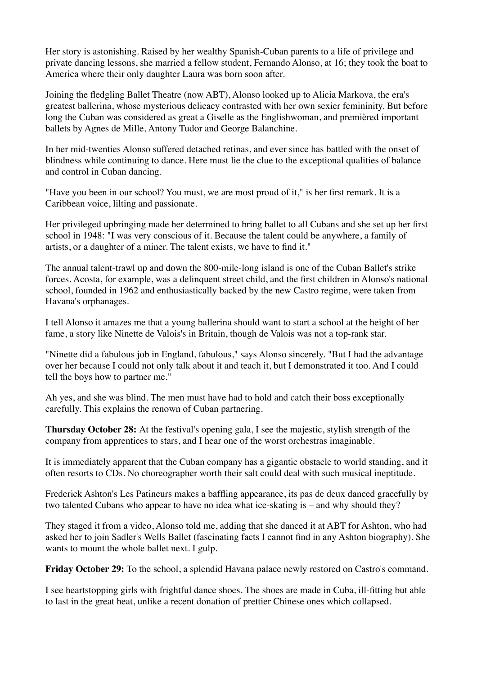Her story is astonishing. Raised by her wealthy Spanish-Cuban parents to a life of privilege and private dancing lessons, she married a fellow student, Fernando Alonso, at 16; they took the boat to America where their only daughter Laura was born soon after.

Joining the fledgling Ballet Theatre (now ABT), Alonso looked up to Alicia Markova, the era's greatest ballerina, whose mysterious delicacy contrasted with her own sexier femininity. But before long the Cuban was considered as great a Giselle as the Englishwoman, and premièred important ballets by Agnes de Mille, Antony Tudor and George Balanchine.

In her mid-twenties Alonso suffered detached retinas, and ever since has battled with the onset of blindness while continuing to dance. Here must lie the clue to the exceptional qualities of balance and control in Cuban dancing.

"Have you been in our school? You must, we are most proud of it," is her first remark. It is a Caribbean voice, lilting and passionate.

Her privileged upbringing made her determined to bring ballet to all Cubans and she set up her first school in 1948: "I was very conscious of it. Because the talent could be anywhere, a family of artists, or a daughter of a miner. The talent exists, we have to find it."

The annual talent-trawl up and down the 800-mile-long island is one of the Cuban Ballet's strike forces. Acosta, for example, was a delinquent street child, and the first children in Alonso's national school, founded in 1962 and enthusiastically backed by the new Castro regime, were taken from Havana's orphanages.

I tell Alonso it amazes me that a young ballerina should want to start a school at the height of her fame, a story like Ninette de Valois's in Britain, though de Valois was not a top-rank star.

"Ninette did a fabulous job in England, fabulous," says Alonso sincerely. "But I had the advantage over her because I could not only talk about it and teach it, but I demonstrated it too. And I could tell the boys how to partner me."

Ah yes, and she was blind. The men must have had to hold and catch their boss exceptionally carefully. This explains the renown of Cuban partnering.

**Thursday October 28:** At the festival's opening gala, I see the majestic, stylish strength of the company from apprentices to stars, and I hear one of the worst orchestras imaginable.

It is immediately apparent that the Cuban company has a gigantic obstacle to world standing, and it often resorts to CDs. No choreographer worth their salt could deal with such musical ineptitude.

Frederick Ashton's Les Patineurs makes a baffling appearance, its pas de deux danced gracefully by two talented Cubans who appear to have no idea what ice-skating is – and why should they?

They staged it from a video, Alonso told me, adding that she danced it at ABT for Ashton, who had asked her to join Sadler's Wells Ballet (fascinating facts I cannot find in any Ashton biography). She wants to mount the whole ballet next. I gulp.

**Friday October 29:** To the school, a splendid Havana palace newly restored on Castro's command.

I see heartstopping girls with frightful dance shoes. The shoes are made in Cuba, ill-fitting but able to last in the great heat, unlike a recent donation of prettier Chinese ones which collapsed.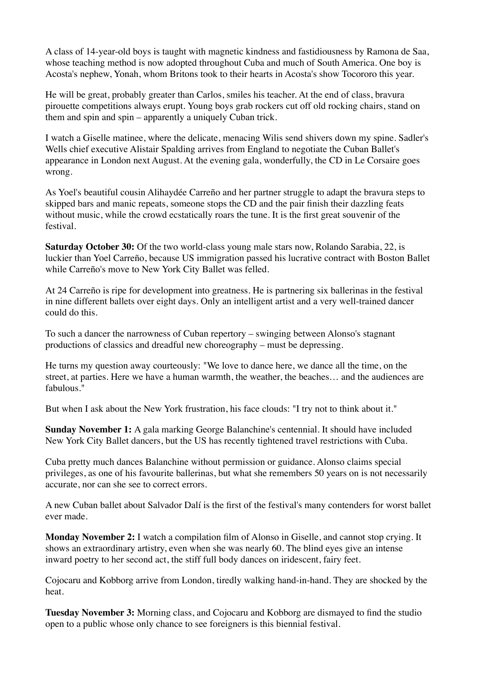A class of 14-year-old boys is taught with magnetic kindness and fastidiousness by Ramona de Saa, whose teaching method is now adopted throughout Cuba and much of South America. One boy is Acosta's nephew, Yonah, whom Britons took to their hearts in Acosta's show Tocororo this year.

He will be great, probably greater than Carlos, smiles his teacher. At the end of class, bravura pirouette competitions always erupt. Young boys grab rockers cut off old rocking chairs, stand on them and spin and spin – apparently a uniquely Cuban trick.

I watch a Giselle matinee, where the delicate, menacing Wilis send shivers down my spine. Sadler's Wells chief executive Alistair Spalding arrives from England to negotiate the Cuban Ballet's appearance in London next August. At the evening gala, wonderfully, the CD in Le Corsaire goes wrong.

As Yoel's beautiful cousin Alihaydée Carreño and her partner struggle to adapt the bravura steps to skipped bars and manic repeats, someone stops the CD and the pair finish their dazzling feats without music, while the crowd ecstatically roars the tune. It is the first great souvenir of the festival.

Saturday October 30: Of the two world-class young male stars now, Rolando Sarabia, 22, is luckier than Yoel Carreño, because US immigration passed his lucrative contract with Boston Ballet while Carreño's move to New York City Ballet was felled.

At 24 Carreño is ripe for development into greatness. He is partnering six ballerinas in the festival in nine different ballets over eight days. Only an intelligent artist and a very well-trained dancer could do this.

To such a dancer the narrowness of Cuban repertory – swinging between Alonso's stagnant productions of classics and dreadful new choreography – must be depressing.

He turns my question away courteously: "We love to dance here, we dance all the time, on the street, at parties. Here we have a human warmth, the weather, the beaches… and the audiences are fabulous."

But when I ask about the New York frustration, his face clouds: "I try not to think about it."

**Sunday November 1:** A gala marking George Balanchine's centennial. It should have included New York City Ballet dancers, but the US has recently tightened travel restrictions with Cuba.

Cuba pretty much dances Balanchine without permission or guidance. Alonso claims special privileges, as one of his favourite ballerinas, but what she remembers 50 years on is not necessarily accurate, nor can she see to correct errors.

A new Cuban ballet about Salvador Dalí is the first of the festival's many contenders for worst ballet ever made.

**Monday November 2:** I watch a compilation film of Alonso in Giselle, and cannot stop crying. It shows an extraordinary artistry, even when she was nearly 60. The blind eyes give an intense inward poetry to her second act, the stiff full body dances on iridescent, fairy feet.

Cojocaru and Kobborg arrive from London, tiredly walking hand-in-hand. They are shocked by the heat.

**Tuesday November 3:** Morning class, and Cojocaru and Kobborg are dismayed to find the studio open to a public whose only chance to see foreigners is this biennial festival.